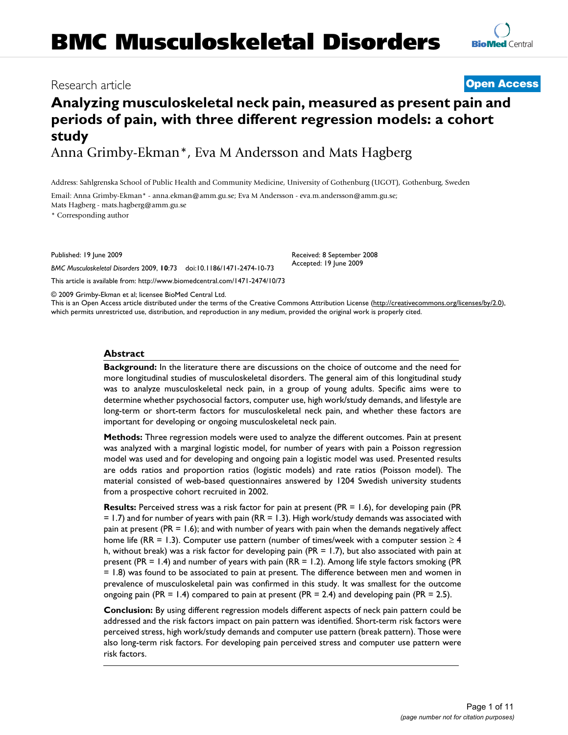## Research article **[Open Access](http://www.biomedcentral.com/info/about/charter/)**

# **Analyzing musculoskeletal neck pain, measured as present pain and periods of pain, with three different regression models: a cohort study**

Anna Grimby-Ekman\*, Eva M Andersson and Mats Hagberg

Address: Sahlgrenska School of Public Health and Community Medicine, University of Gothenburg (UGOT), Gothenburg, Sweden

Email: Anna Grimby-Ekman\* - anna.ekman@amm.gu.se; Eva M Andersson - eva.m.andersson@amm.gu.se; Mats Hagberg - mats.hagberg@amm.gu.se

\* Corresponding author

Published: 19 June 2009

*BMC Musculoskeletal Disorders* 2009, **10**:73 doi:10.1186/1471-2474-10-73

[This article is available from: http://www.biomedcentral.com/1471-2474/10/73](http://www.biomedcentral.com/1471-2474/10/73)

© 2009 Grimby-Ekman et al; licensee BioMed Central Ltd.

This is an Open Access article distributed under the terms of the Creative Commons Attribution License [\(http://creativecommons.org/licenses/by/2.0\)](http://creativecommons.org/licenses/by/2.0), which permits unrestricted use, distribution, and reproduction in any medium, provided the original work is properly cited.

#### **Abstract**

**Background:** In the literature there are discussions on the choice of outcome and the need for more longitudinal studies of musculoskeletal disorders. The general aim of this longitudinal study was to analyze musculoskeletal neck pain, in a group of young adults. Specific aims were to determine whether psychosocial factors, computer use, high work/study demands, and lifestyle are long-term or short-term factors for musculoskeletal neck pain, and whether these factors are important for developing or ongoing musculoskeletal neck pain.

**Methods:** Three regression models were used to analyze the different outcomes. Pain at present was analyzed with a marginal logistic model, for number of years with pain a Poisson regression model was used and for developing and ongoing pain a logistic model was used. Presented results are odds ratios and proportion ratios (logistic models) and rate ratios (Poisson model). The material consisted of web-based questionnaires answered by 1204 Swedish university students from a prospective cohort recruited in 2002.

**Results:** Perceived stress was a risk factor for pain at present (PR = 1.6), for developing pain (PR = 1.7) and for number of years with pain (RR = 1.3). High work/study demands was associated with pain at present (PR = 1.6); and with number of years with pain when the demands negatively affect home life (RR = 1.3). Computer use pattern (number of times/week with a computer session  $\geq 4$ h, without break) was a risk factor for developing pain (PR = 1.7), but also associated with pain at present (PR = 1.4) and number of years with pain (RR = 1.2). Among life style factors smoking (PR = 1.8) was found to be associated to pain at present. The difference between men and women in prevalence of musculoskeletal pain was confirmed in this study. It was smallest for the outcome ongoing pain (PR = 1.4) compared to pain at present (PR = 2.4) and developing pain (PR = 2.5).

**Conclusion:** By using different regression models different aspects of neck pain pattern could be addressed and the risk factors impact on pain pattern was identified. Short-term risk factors were perceived stress, high work/study demands and computer use pattern (break pattern). Those were also long-term risk factors. For developing pain perceived stress and computer use pattern were risk factors.

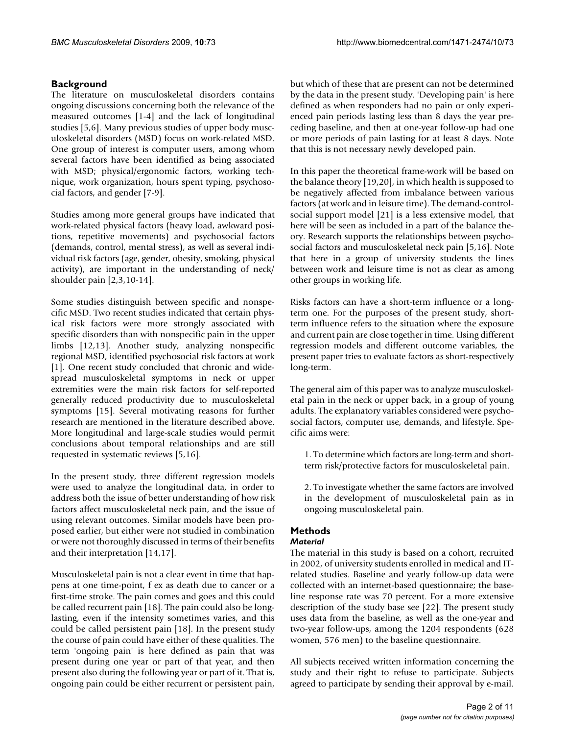#### **Background**

The literature on musculoskeletal disorders contains ongoing discussions concerning both the relevance of the measured outcomes [1-4] and the lack of longitudinal studies [5,6]. Many previous studies of upper body musculoskeletal disorders (MSD) focus on work-related MSD. One group of interest is computer users, among whom several factors have been identified as being associated with MSD; physical/ergonomic factors, working technique, work organization, hours spent typing, psychosocial factors, and gender [7-9].

Studies among more general groups have indicated that work-related physical factors (heavy load, awkward positions, repetitive movements) and psychosocial factors (demands, control, mental stress), as well as several individual risk factors (age, gender, obesity, smoking, physical activity), are important in the understanding of neck/ shoulder pain [2,3,10-14].

Some studies distinguish between specific and nonspecific MSD. Two recent studies indicated that certain physical risk factors were more strongly associated with specific disorders than with nonspecific pain in the upper limbs [12,13]. Another study, analyzing nonspecific regional MSD, identified psychosocial risk factors at work [1]. One recent study concluded that chronic and widespread musculoskeletal symptoms in neck or upper extremities were the main risk factors for self-reported generally reduced productivity due to musculoskeletal symptoms [15]. Several motivating reasons for further research are mentioned in the literature described above. More longitudinal and large-scale studies would permit conclusions about temporal relationships and are still requested in systematic reviews [5,16].

In the present study, three different regression models were used to analyze the longitudinal data, in order to address both the issue of better understanding of how risk factors affect musculoskeletal neck pain, and the issue of using relevant outcomes. Similar models have been proposed earlier, but either were not studied in combination or were not thoroughly discussed in terms of their benefits and their interpretation [14,17].

Musculoskeletal pain is not a clear event in time that happens at one time-point, f ex as death due to cancer or a first-time stroke. The pain comes and goes and this could be called recurrent pain [18]. The pain could also be longlasting, even if the intensity sometimes varies, and this could be called persistent pain [18]. In the present study the course of pain could have either of these qualities. The term 'ongoing pain' is here defined as pain that was present during one year or part of that year, and then present also during the following year or part of it. That is, ongoing pain could be either recurrent or persistent pain,

but which of these that are present can not be determined by the data in the present study. 'Developing pain' is here defined as when responders had no pain or only experienced pain periods lasting less than 8 days the year preceding baseline, and then at one-year follow-up had one or more periods of pain lasting for at least 8 days. Note that this is not necessary newly developed pain.

In this paper the theoretical frame-work will be based on the balance theory [19,20], in which health is supposed to be negatively affected from imbalance between various factors (at work and in leisure time). The demand-controlsocial support model [21] is a less extensive model, that here will be seen as included in a part of the balance theory. Research supports the relationships between psychosocial factors and musculoskeletal neck pain [5,16]. Note that here in a group of university students the lines between work and leisure time is not as clear as among other groups in working life.

Risks factors can have a short-term influence or a longterm one. For the purposes of the present study, shortterm influence refers to the situation where the exposure and current pain are close together in time. Using different regression models and different outcome variables, the present paper tries to evaluate factors as short-respectively long-term.

The general aim of this paper was to analyze musculoskeletal pain in the neck or upper back, in a group of young adults. The explanatory variables considered were psychosocial factors, computer use, demands, and lifestyle. Specific aims were:

1. To determine which factors are long-term and shortterm risk/protective factors for musculoskeletal pain.

2. To investigate whether the same factors are involved in the development of musculoskeletal pain as in ongoing musculoskeletal pain.

### **Methods**

#### *Material*

The material in this study is based on a cohort, recruited in 2002, of university students enrolled in medical and ITrelated studies. Baseline and yearly follow-up data were collected with an internet-based questionnaire; the baseline response rate was 70 percent. For a more extensive description of the study base see [22]. The present study uses data from the baseline, as well as the one-year and two-year follow-ups, among the 1204 respondents (628 women, 576 men) to the baseline questionnaire.

All subjects received written information concerning the study and their right to refuse to participate. Subjects agreed to participate by sending their approval by e-mail.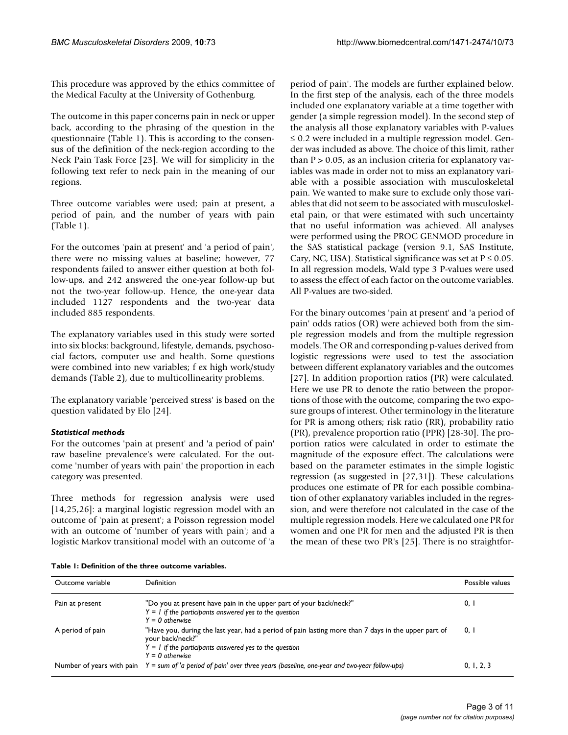This procedure was approved by the ethics committee of the Medical Faculty at the University of Gothenburg.

The outcome in this paper concerns pain in neck or upper back, according to the phrasing of the question in the questionnaire (Table 1). This is according to the consensus of the definition of the neck-region according to the Neck Pain Task Force [23]. We will for simplicity in the following text refer to neck pain in the meaning of our regions.

Three outcome variables were used; pain at present, a period of pain, and the number of years with pain (Table 1).

For the outcomes 'pain at present' and 'a period of pain', there were no missing values at baseline; however, 77 respondents failed to answer either question at both follow-ups, and 242 answered the one-year follow-up but not the two-year follow-up. Hence, the one-year data included 1127 respondents and the two-year data included 885 respondents.

The explanatory variables used in this study were sorted into six blocks: background, lifestyle, demands, psychosocial factors, computer use and health. Some questions were combined into new variables; f ex high work/study demands (Table 2), due to multicollinearity problems.

The explanatory variable 'perceived stress' is based on the question validated by Elo [24].

#### *Statistical methods*

For the outcomes 'pain at present' and 'a period of pain' raw baseline prevalence's were calculated. For the outcome 'number of years with pain' the proportion in each category was presented.

Three methods for regression analysis were used [14,25,26]: a marginal logistic regression model with an outcome of 'pain at present'; a Poisson regression model with an outcome of 'number of years with pain'; and a logistic Markov transitional model with an outcome of 'a period of pain'. The models are further explained below. In the first step of the analysis, each of the three models included one explanatory variable at a time together with gender (a simple regression model). In the second step of the analysis all those explanatory variables with P-values ≤ 0.2 were included in a multiple regression model. Gender was included as above. The choice of this limit, rather than  $P > 0.05$ , as an inclusion criteria for explanatory variables was made in order not to miss an explanatory variable with a possible association with musculoskeletal pain. We wanted to make sure to exclude only those variables that did not seem to be associated with musculoskeletal pain, or that were estimated with such uncertainty that no useful information was achieved. All analyses were performed using the PROC GENMOD procedure in the SAS statistical package (version 9.1, SAS Institute, Cary, NC, USA). Statistical significance was set at  $P \le 0.05$ . In all regression models, Wald type 3 P-values were used to assess the effect of each factor on the outcome variables. All P-values are two-sided.

For the binary outcomes 'pain at present' and 'a period of pain' odds ratios (OR) were achieved both from the simple regression models and from the multiple regression models. The OR and corresponding p-values derived from logistic regressions were used to test the association between different explanatory variables and the outcomes [27]. In addition proportion ratios (PR) were calculated. Here we use PR to denote the ratio between the proportions of those with the outcome, comparing the two exposure groups of interest. Other terminology in the literature for PR is among others; risk ratio (RR), probability ratio (PR), prevalence proportion ratio (PPR) [28-30]. The proportion ratios were calculated in order to estimate the magnitude of the exposure effect. The calculations were based on the parameter estimates in the simple logistic regression (as suggested in [27,31]). These calculations produces one estimate of PR for each possible combination of other explanatory variables included in the regression, and were therefore not calculated in the case of the multiple regression models. Here we calculated one PR for women and one PR for men and the adjusted PR is then the mean of these two PR's [25]. There is no straightfor-

|  | Table 1: Definition of the three outcome variables. |  |  |  |  |
|--|-----------------------------------------------------|--|--|--|--|
|--|-----------------------------------------------------|--|--|--|--|

| Outcome variable | Definition                                                                                                                                                                                               | Possible values |
|------------------|----------------------------------------------------------------------------------------------------------------------------------------------------------------------------------------------------------|-----------------|
| Pain at present  | "Do you at present have pain in the upper part of your back/neck?"<br>$Y = I$ if the participants answered yes to the question<br>$Y = 0$ otherwise                                                      | 0, I            |
| A period of pain | "Have you, during the last year, had a period of pain lasting more than 7 days in the upper part of<br>your back/neck?"<br>$Y = I$ if the participants answered yes to the question<br>$Y = 0$ otherwise | 0, I            |
|                  | Number of years with pain $Y = sum of 'a$ period of pain' over three years (baseline, one-year and two-year follow-ups)                                                                                  | 0, 1, 2, 3      |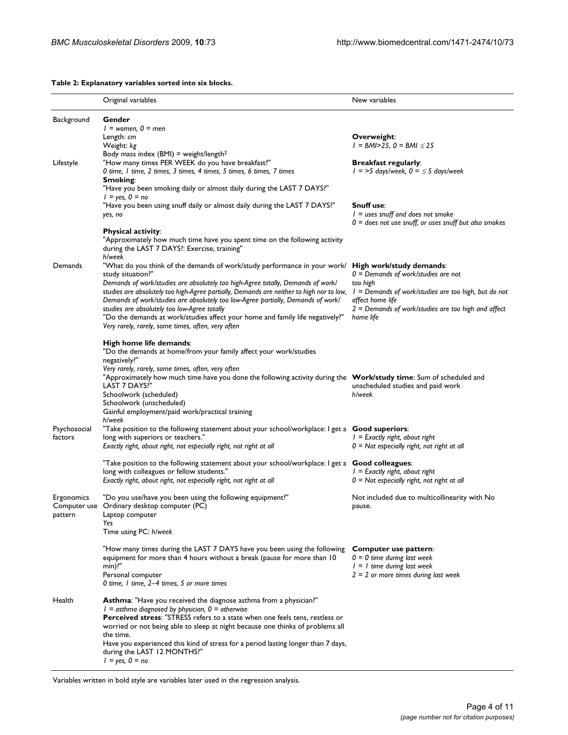#### **Table 2: Explanatory variables sorted into six blocks. Original variables** New variables **New variables** New variables Background **Gender** *1 = women, 0 = men* Length: *cm* Weight: *kg* Body mass index (BMI) = weight/length<sup>2</sup> **Overweight**: *1 = BMI>25, 0 = BMI* ≤ *25* Lifestyle "How many times PER WEEK do you have breakfast?" *0 time, 1 time, 2 times, 3 times, 4 times, 5 times, 6 times, 7 times* **Breakfast regularly**: *1 = >5 days/week, 0 =* ≤ *5 days/week* **Smoking**: "Have you been smoking daily or almost daily during the LAST 7 DAYS?" *1 = yes, 0 = no* "Have you been using snuff daily or almost daily during the LAST 7 DAYS?" *yes, no* **Snuff use**: *1 = uses snuff and does not smoke 0 = does not use snuff, or uses snuff but also smokes* **Physical activity**: "Approximately how much time have you spent time on the following activity during the LAST 7 DAYS?: Exercise, training" *h/week* Demands "What do you think of the demands of work/study performance in your work/ study situation?" *Demands of work/studies are absolutely too high-Agree totally, Demands of work/ studies are absolutely too high-Agree partially, Demands are neither to high nor to low, Demands of work/studies are absolutely too low-Agree partially, Demands of work/ studies are absolutely too low-Agree totally* "Do the demands at work/studies affect your home and family life negatively?" *Very rarely, rarely, some times, often, very often* **High work/study demands**: *0 = Demands of work/studies are not too high 1 = Demands of work/studies are too high, but do not affect home life 2 = Demands of work/studies are too high and affect home life* **High home life demands**: "Do the demands at home/from your family affect your work/studies negatively?" *Very rarely, rarely, some times, often, very often* "Approximately how much time have you done the following activity during the **Work/study time**: Sum of scheduled and LAST 7 DAYS? Schoolwork (scheduled) Schoolwork (unscheduled) Gainful employment/paid work/practical training *h/week* unscheduled studies and paid work *h/week* Psychosocial factors "Take position to the following statement about your school/workplace: I get a **Good superiors**: long with superiors or teachers.' *Exactly right, about right, not especially right, not right at all 1 = Exactly right, about right 0 = Not especially right, not right at all* "Take position to the following statement about your school/workplace: I get a **Good colleagues**: long with colleagues or fellow students." *Exactly right, about right, not especially right, not right at all 1 = Exactly right, about right 0 = Not especially right, not right at all* Ergonomics Computer use Ordinary desktop computer (PC) pattern "Do you use/have you been using the following equipment?" Laptop computer *Yes* Time using PC: *h/week* Not included due to multicollinearity with No pause. "How many times during the LAST 7 DAYS have you been using the following **Computer use pattern**: equipment for more than 4 hours without a break (pause for more than 10 min)?" Personal computer *0 time, 1 time, 2–4 times, 5 or more times 0 = 0 time during last week 1 = 1 time during last week 2 = 2 or more times during last week* Health **Asthma**: "Have you received the diagnose asthma from a physician?" *1 = asthma diagnosed by physician, 0 = otherwise* **Perceived stress**: "STRESS refers to a state when one feels tens, restless or worried or not being able to sleep at night because one thinks of problems all the time. Have you experienced this kind of stress for a period lasting longer than 7 days, during the LAST 12 MONTHS?"

Variables written in bold style are variables later used in the regression analysis.

*1 = yes, 0 = no*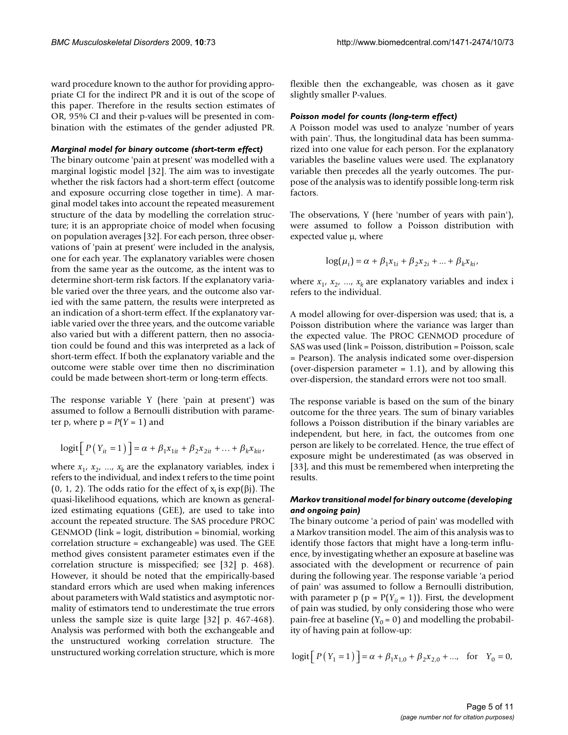ward procedure known to the author for providing appropriate CI for the indirect PR and it is out of the scope of this paper. Therefore in the results section estimates of OR, 95% CI and their p-values will be presented in combination with the estimates of the gender adjusted PR.

#### *Marginal model for binary outcome (short-term effect)*

The binary outcome 'pain at present' was modelled with a marginal logistic model [32]. The aim was to investigate whether the risk factors had a short-term effect (outcome and exposure occurring close together in time). A marginal model takes into account the repeated measurement structure of the data by modelling the correlation structure; it is an appropriate choice of model when focusing on population averages [32]. For each person, three observations of 'pain at present' were included in the analysis, one for each year. The explanatory variables were chosen from the same year as the outcome, as the intent was to determine short-term risk factors. If the explanatory variable varied over the three years, and the outcome also varied with the same pattern, the results were interpreted as an indication of a short-term effect. If the explanatory variable varied over the three years, and the outcome variable also varied but with a different pattern, then no association could be found and this was interpreted as a lack of short-term effect. If both the explanatory variable and the outcome were stable over time then no discrimination could be made between short-term or long-term effects.

The response variable Y (here 'pain at present') was assumed to follow a Bernoulli distribution with parameter p, where  $p = P(Y = 1)$  and

$$
logit [P(Y_{it} = 1)] = \alpha + \beta_1 x_{1it} + \beta_2 x_{2it} + ... + \beta_k x_{kit},
$$

where  $x_1$ ,  $x_2$ , ...,  $x_k$  are the explanatory variables, index i refers to the individual, and index t refers to the time point (0, 1, 2). The odds ratio for the effect of  $x_i$  is  $exp(\beta j)$ . The quasi-likelihood equations, which are known as generalized estimating equations (GEE), are used to take into account the repeated structure. The SAS procedure PROC GENMOD (link = logit, distribution = binomial, working correlation structure = exchangeable) was used. The GEE method gives consistent parameter estimates even if the correlation structure is misspecified; see [32] p. 468). However, it should be noted that the empirically-based standard errors which are used when making inferences about parameters with Wald statistics and asymptotic normality of estimators tend to underestimate the true errors unless the sample size is quite large [32] p. 467-468). Analysis was performed with both the exchangeable and the unstructured working correlation structure. The unstructured working correlation structure, which is more flexible then the exchangeable, was chosen as it gave slightly smaller P-values.

#### *Poisson model for counts (long-term effect)*

A Poisson model was used to analyze 'number of years with pain'. Thus, the longitudinal data has been summarized into one value for each person. For the explanatory variables the baseline values were used. The explanatory variable then precedes all the yearly outcomes. The purpose of the analysis was to identify possible long-term risk factors.

The observations, Y (here 'number of years with pain'), were assumed to follow a Poisson distribution with expected value μ, where

$$
log(\mu_i) = \alpha + \beta_1 x_{1i} + \beta_2 x_{2i} + ... + \beta_k x_{ki},
$$

where  $x_1$ ,  $x_2$ , ...,  $x_k$  are explanatory variables and index i refers to the individual.

A model allowing for over-dispersion was used; that is, a Poisson distribution where the variance was larger than the expected value. The PROC GENMOD procedure of SAS was used (link = Poisson, distribution = Poisson, scale = Pearson). The analysis indicated some over-dispersion (over-dispersion parameter  $= 1.1$ ), and by allowing this over-dispersion, the standard errors were not too small.

The response variable is based on the sum of the binary outcome for the three years. The sum of binary variables follows a Poisson distribution if the binary variables are independent, but here, in fact, the outcomes from one person are likely to be correlated. Hence, the true effect of exposure might be underestimated (as was observed in [33], and this must be remembered when interpreting the results.

#### *Markov transitional model for binary outcome (developing and ongoing pain)*

The binary outcome 'a period of pain' was modelled with a Markov transition model. The aim of this analysis was to identify those factors that might have a long-term influence, by investigating whether an exposure at baseline was associated with the development or recurrence of pain during the following year. The response variable 'a period of pain' was assumed to follow a Bernoulli distribution, with parameter  $p$  ( $p = P(Y_{it} = 1)$ ). First, the development of pain was studied, by only considering those who were pain-free at baseline ( $Y_0 = 0$ ) and modelling the probability of having pain at follow-up:

$$
logit [P(Y_1 = 1)] = \alpha + \beta_1 x_{1,0} + \beta_2 x_{2,0} + ..., for Y_0 = 0,
$$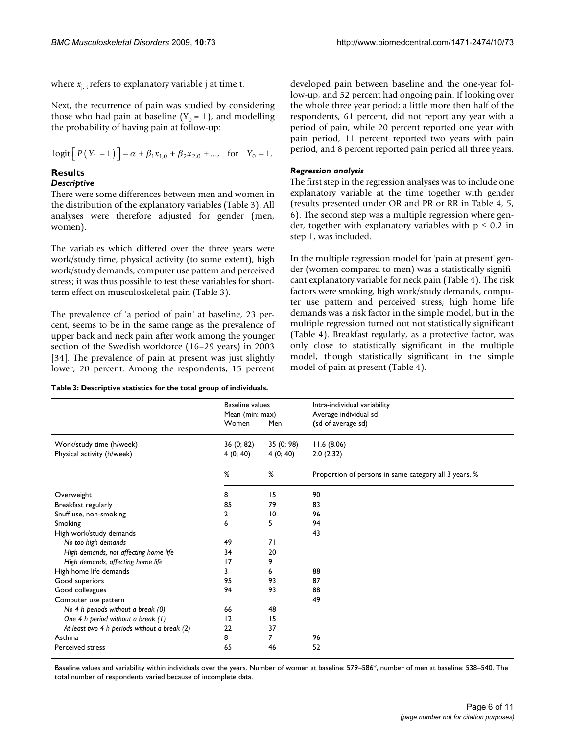where  $x_{i,t}$  refers to explanatory variable j at time t.

Next, the recurrence of pain was studied by considering those who had pain at baseline  $(Y_0 = 1)$ , and modelling the probability of having pain at follow-up:

$$
logit [P(Y_1 = 1)] = \alpha + \beta_1 x_{1,0} + \beta_2 x_{2,0} + \dots, \text{ for } Y_0 = 1.
$$

#### **Results**

#### *Descriptive*

There were some differences between men and women in the distribution of the explanatory variables (Table 3). All analyses were therefore adjusted for gender (men, women).

The variables which differed over the three years were work/study time, physical activity (to some extent), high work/study demands, computer use pattern and perceived stress; it was thus possible to test these variables for shortterm effect on musculoskeletal pain (Table 3).

The prevalence of 'a period of pain' at baseline, 23 percent, seems to be in the same range as the prevalence of upper back and neck pain after work among the younger section of the Swedish workforce (16–29 years) in 2003 [34]. The prevalence of pain at present was just slightly lower, 20 percent. Among the respondents, 15 percent

**Table 3: Descriptive statistics for the total group of individuals.**

developed pain between baseline and the one-year follow-up, and 52 percent had ongoing pain. If looking over the whole three year period; a little more then half of the respondents, 61 percent, did not report any year with a period of pain, while 20 percent reported one year with pain period, 11 percent reported two years with pain period, and 8 percent reported pain period all three years.

#### *Regression analysis*

The first step in the regression analyses was to include one explanatory variable at the time together with gender (results presented under OR and PR or RR in Table 4, 5, 6). The second step was a multiple regression where gender, together with explanatory variables with  $p \le 0.2$  in step 1, was included.

In the multiple regression model for 'pain at present' gender (women compared to men) was a statistically significant explanatory variable for neck pain (Table 4). The risk factors were smoking, high work/study demands, computer use pattern and perceived stress; high home life demands was a risk factor in the simple model, but in the multiple regression turned out not statistically significant (Table 4). Breakfast regularly, as a protective factor, was only close to statistically significant in the multiple model, though statistically significant in the simple model of pain at present (Table 4).

|                                              | <b>Baseline values</b> |                 | Intra-individual variability                          |
|----------------------------------------------|------------------------|-----------------|-------------------------------------------------------|
|                                              | Mean (min; max)        |                 | Average individual sd                                 |
|                                              | Women                  | Men             | (sd of average sd)                                    |
| Work/study time (h/week)                     | 36 (0; 82)             | 35 (0; 98)      | 11.6(8.06)                                            |
| Physical activity (h/week)                   | 4(0; 40)               | 4(0; 40)        | 2.0(2.32)                                             |
|                                              | %                      | %               | Proportion of persons in same category all 3 years, % |
| Overweight                                   | 8                      | 15              | 90                                                    |
| Breakfast regularly                          | 85                     | 79              | 83                                                    |
| Snuff use, non-smoking                       | 2                      | $\overline{10}$ | 96                                                    |
| Smoking                                      | 6                      | 5               | 94                                                    |
| High work/study demands                      |                        |                 | 43                                                    |
| No too high demands                          | 49                     | 71              |                                                       |
| High demands, not affecting home life        | 34                     | 20              |                                                       |
| High demands, affecting home life            | 17                     | 9               |                                                       |
| High home life demands                       | 3                      | 6               | 88                                                    |
| Good superiors                               | 95                     | 93              | 87                                                    |
| Good colleagues                              | 94                     | 93              | 88                                                    |
| Computer use pattern                         |                        |                 | 49                                                    |
| No 4 h periods without a break (0)           | 66                     | 48              |                                                       |
| One 4 h period without a break (1)           | 12                     | 15              |                                                       |
| At least two 4 h periods without a break (2) | 22                     | 37              |                                                       |
| Asthma                                       | 8                      | 7               | 96                                                    |
| Perceived stress                             | 65                     | 46              | 52                                                    |

Baseline values and variability within individuals over the years. Number of women at baseline: 579–586\*, number of men at baseline: 538–540. The total number of respondents varied because of incomplete data.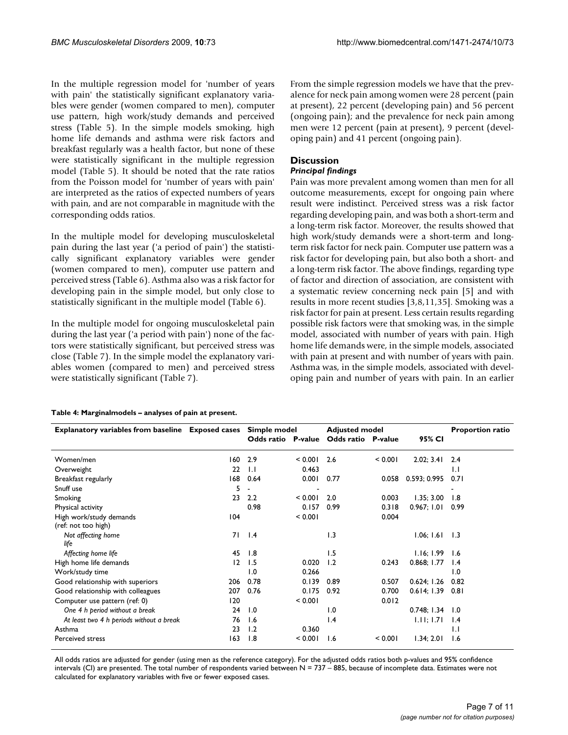In the multiple regression model for 'number of years with pain' the statistically significant explanatory variables were gender (women compared to men), computer use pattern, high work/study demands and perceived stress (Table 5). In the simple models smoking, high home life demands and asthma were risk factors and breakfast regularly was a health factor, but none of these were statistically significant in the multiple regression model (Table 5). It should be noted that the rate ratios from the Poisson model for 'number of years with pain' are interpreted as the ratios of expected numbers of years with pain, and are not comparable in magnitude with the corresponding odds ratios.

In the multiple model for developing musculoskeletal pain during the last year ('a period of pain') the statistically significant explanatory variables were gender (women compared to men), computer use pattern and perceived stress (Table 6). Asthma also was a risk factor for developing pain in the simple model, but only close to statistically significant in the multiple model (Table 6).

In the multiple model for ongoing musculoskeletal pain during the last year ('a period with pain') none of the factors were statistically significant, but perceived stress was close (Table 7). In the simple model the explanatory variables women (compared to men) and perceived stress were statistically significant (Table 7).

From the simple regression models we have that the prevalence for neck pain among women were 28 percent (pain at present), 22 percent (developing pain) and 56 percent (ongoing pain); and the prevalence for neck pain among men were 12 percent (pain at present), 9 percent (developing pain) and 41 percent (ongoing pain).

#### **Discussion**

#### *Principal findings*

Pain was more prevalent among women than men for all outcome measurements, except for ongoing pain where result were indistinct. Perceived stress was a risk factor regarding developing pain, and was both a short-term and a long-term risk factor. Moreover, the results showed that high work/study demands were a short-term and longterm risk factor for neck pain. Computer use pattern was a risk factor for developing pain, but also both a short- and a long-term risk factor. The above findings, regarding type of factor and direction of association, are consistent with a systematic review concerning neck pain [5] and with results in more recent studies [3,8,11,35]. Smoking was a risk factor for pain at present. Less certain results regarding possible risk factors were that smoking was, in the simple model, associated with number of years with pain. High home life demands were, in the simple models, associated with pain at present and with number of years with pain. Asthma was, in the simple models, associated with developing pain and number of years with pain. In an earlier

#### **Table 4: Marginalmodels – analyses of pain at present.**

| Explanatory variables from baseline Exposed cases Simple model |     |                    |                          | <b>Adjusted model</b>     | <b>Proportion ratio</b> |              |                 |
|----------------------------------------------------------------|-----|--------------------|--------------------------|---------------------------|-------------------------|--------------|-----------------|
|                                                                |     | Odds ratio P-value |                          | <b>Odds ratio</b> P-value |                         | 95% CI       |                 |
| Women/men                                                      | 160 | 2.9                | < 0.001                  | 2.6                       | < 0.001                 | 2.02; 3.41   | 2.4             |
| Overweight                                                     | 22  | $\overline{1}$ .   | 0.463                    |                           |                         |              | $\mathbf{L}$    |
| Breakfast regularly                                            | 168 | 0.64               | 0.001                    | 0.77                      | 0.058                   | 0.593; 0.995 | 0.71            |
| Snuff use                                                      | 5   |                    | $\overline{\phantom{0}}$ |                           |                         |              |                 |
| Smoking                                                        | 23  | $2.2\phantom{0}$   | < 0.001                  | 2.0                       | 0.003                   | 1.35; 3.00   | 1.8             |
| Physical activity                                              |     | 0.98               | 0.157                    | 0.99                      | 0.318                   | 0.967; 1.01  | 0.99            |
| High work/study demands                                        | 104 |                    | < 0.001                  |                           | 0.004                   |              |                 |
| (ref: not too high)                                            |     |                    |                          |                           |                         |              |                 |
| Not affecting home<br>life                                     | 71  | $\mathsf{I}$ .4    |                          | 1.3                       |                         | 1.06; 1.61   | 1.3             |
| Affecting home life                                            | 45  | 1.8                |                          | 1.5                       |                         | 1.16; 1.99   | 1.6             |
| High home life demands                                         | 12  | 1.5                | 0.020                    | 1.2                       | 0.243                   | 0.868; 1.77  | $\mathsf{I}$ .4 |
| Work/study time                                                |     | 1.0                | 0.266                    |                           |                         |              | 1.0             |
| Good relationship with superiors                               | 206 | 0.78               | 0.139                    | 0.89                      | 0.507                   | 0.624; 1.26  | 0.82            |
| Good relationship with colleagues                              | 207 | 0.76               | 0.175                    | 0.92                      | 0.700                   | 0.614; 1.39  | 0.81            |
| Computer use pattern (ref: 0)                                  | 120 |                    | < 0.001                  |                           | 0.012                   |              |                 |
| One 4 h period without a break                                 | 24  | 1.0                |                          | 1.0                       |                         | 0.748; 1.34  | 1.0             |
| At least two 4 h periods without a break                       | 76  | 1.6                |                          | 1.4                       |                         | 1.11; 1.71   | $\mathsf{I}$ .4 |
| Asthma                                                         | 23  | 1.2                | 0.360                    |                           |                         |              | IJ              |
| Perceived stress                                               | 163 | 1.8                | < 0.001                  | 1.6                       | < 0.001                 | 1.34; 2.01   | 1.6             |

All odds ratios are adjusted for gender (using men as the reference category). For the adjusted odds ratios both p-values and 95% confidence intervals (CI) are presented. The total number of respondents varied between N = 737 - 885, because of incomplete data. Estimates were not calculated for explanatory variables with five or fewer exposed cases.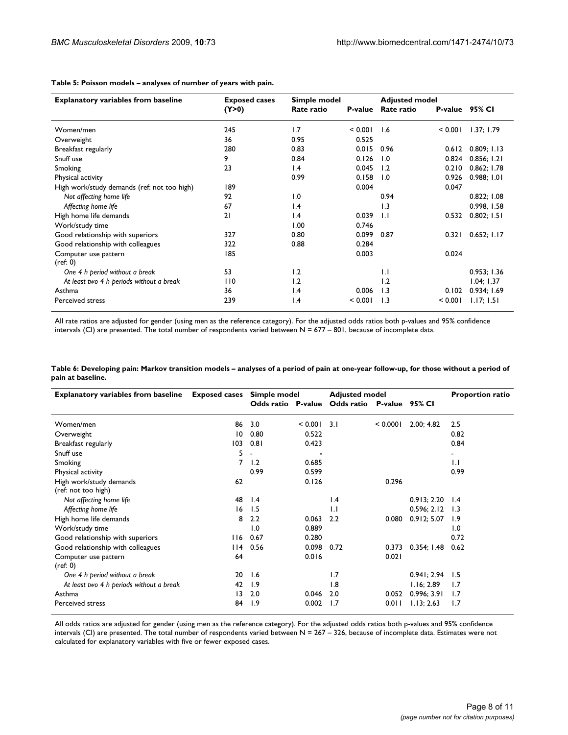**Table 5: Poisson models – analyses of number of years with pain.**

| <b>Explanatory variables from baseline</b>  | <b>Exposed cases</b> | Simple model    |         | <b>Adjusted model</b> |                |             |
|---------------------------------------------|----------------------|-----------------|---------|-----------------------|----------------|-------------|
|                                             | (Y>0)                | Rate ratio      | P-value | Rate ratio            | P-value 95% CI |             |
| Women/men                                   | 245                  | 1.7             | < 0.001 | 1.6                   | < 0.001        | 1.37; 1.79  |
| Overweight                                  | 36                   | 0.95            | 0.525   |                       |                |             |
| Breakfast regularly                         | 280                  | 0.83            | 0.015   | 0.96                  | 0.612          | 0.809; 1.13 |
| Snuff use                                   | 9                    | 0.84            | 0.126   | 1.0                   | 0.824          | 0.856; 1.21 |
| Smoking                                     | 23                   | 1.4             | 0.045   | 1.2                   | 0.210          | 0.862; 1.78 |
| Physical activity                           |                      | 0.99            | 0.158   | $\overline{1.0}$      | 0.926          | 0.988; 1.01 |
| High work/study demands (ref: not too high) | 189                  |                 | 0.004   |                       | 0.047          |             |
| Not affecting home life                     | 92                   | 1.0             |         | 0.94                  |                | 0.822; 1.08 |
| Affecting home life                         | 67                   | 1.4             |         | 1.3                   |                | 0.998, 1.58 |
| High home life demands                      | 21                   | $\mathsf{I}$ .4 | 0.039   | $\overline{1}$ .      | 0.532          | 0.802; 1.51 |
| Work/study time                             |                      | 1.00            | 0.746   |                       |                |             |
| Good relationship with superiors            | 327                  | 0.80            | 0.099   | 0.87                  | 0.321          | 0.652; 1.17 |
| Good relationship with colleagues           | 322                  | 0.88            | 0.284   |                       |                |             |
| Computer use pattern<br>(ref: 0)            | 185                  |                 | 0.003   |                       | 0.024          |             |
| One 4 h period without a break              | 53                   | 1.2             |         | $\mathsf{L}$          |                | 0.953; 1.36 |
| At least two 4 h periods without a break    | 110                  | 1.2             |         | 1.2                   |                | 1.04; 1.37  |
| Asthma                                      | 36                   | 1.4             | 0.006   | 1.3                   | 0.102          | 0.934; 1.69 |
| Perceived stress                            | 239                  | $\mathsf{I}$ .4 | < 0.001 | 1.3                   | < 0.001        | 1.17; 1.51  |

All rate ratios are adjusted for gender (using men as the reference category). For the adjusted odds ratios both p-values and 95% confidence intervals (CI) are presented. The total number of respondents varied between  $N = 677 - 801$ , because of incomplete data.

| Table 6: Developing pain: Markov transition models – analyses of a period of pain at one-year follow-up, for those without a period of |  |  |
|----------------------------------------------------------------------------------------------------------------------------------------|--|--|
| pain at baseline.                                                                                                                      |  |  |

| <b>Explanatory variables from baseline</b> | <b>Exposed cases</b> | Simple model       |         | <b>Adjusted model</b>     |          |             | <b>Proportion ratio</b> |
|--------------------------------------------|----------------------|--------------------|---------|---------------------------|----------|-------------|-------------------------|
|                                            |                      | Odds ratio P-value |         | Odds ratio P-value 95% CI |          |             |                         |
| Women/men                                  | 86                   |                    |         | 3.1                       |          |             |                         |
|                                            |                      | 3.0                | < 0.001 |                           | < 0.0001 | 2.00:4.82   | 2.5                     |
| Overweight                                 | 10                   | 0.80               | 0.522   |                           |          |             | 0.82                    |
| Breakfast regularly                        | 103                  | 0.81               | 0.423   |                           |          |             | 0.84                    |
| Snuff use                                  | 5                    | ٠                  |         |                           |          |             | $\blacksquare$          |
| Smoking                                    | 7                    | 1.2                | 0.685   |                           |          |             | 1.1                     |
| Physical activity                          |                      | 0.99               | 0.599   |                           |          |             | 0.99                    |
| High work/study demands                    | 62                   |                    | 0.126   |                           | 0.296    |             |                         |
| (ref: not too high)                        |                      |                    |         |                           |          |             |                         |
| Not affecting home life                    | 48                   | 1.4                |         | $\mathsf{I}$ .4           |          | 0.913; 2.20 | 1.4                     |
| Affecting home life                        | 16                   | 1.5                |         | $\mathsf{L}$              |          | 0.596; 2.12 | 1.3                     |
| High home life demands                     | 8                    | 2.2                | 0.063   | 2.2                       | 0.080    | 0.912; 5.07 | 1.9                     |
| Work/study time                            |                      | 1.0                | 0.889   |                           |          |             | 1.0                     |
| Good relationship with superiors           | 116                  | 0.67               | 0.280   |                           |          |             | 0.72                    |
| Good relationship with colleagues          | l 14                 | 0.56               | 0.098   | 0.72                      | 0.373    | 0.354; 1.48 | 0.62                    |
| Computer use pattern                       | 64                   |                    | 0.016   |                           | 0.021    |             |                         |
| (ref: 0)                                   |                      |                    |         |                           |          |             |                         |
| One 4 h period without a break             | 20                   | 1.6                |         | 1.7                       |          | 0.941; 2.94 | 1.5                     |
| At least two 4 h periods without a break   | 42                   | 1.9                |         | 1.8                       |          | 1.16; 2.89  | 1.7                     |
| Asthma                                     | $\overline{13}$      | 2.0                | 0.046   | 2.0                       | 0.052    | 0.996; 3.91 | 1.7                     |
| Perceived stress                           | 84                   | 1.9                | 0.002   | 1.7                       | 0.011    | 1.13; 2.63  | 1.7                     |

All odds ratios are adjusted for gender (using men as the reference category). For the adjusted odds ratios both p-values and 95% confidence intervals (CI) are presented. The total number of respondents varied between  $N = 267 - 326$ , because of incomplete data. Estimates were not calculated for explanatory variables with five or fewer exposed cases.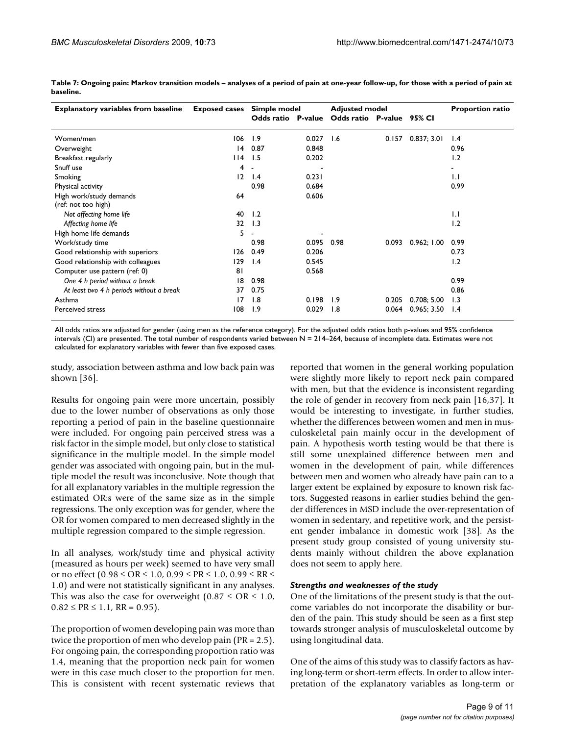| <b>Explanatory variables from baseline</b> | <b>Exposed cases</b> |                 | Simple model |                                              | <b>Adjusted model</b> |             |                 |
|--------------------------------------------|----------------------|-----------------|--------------|----------------------------------------------|-----------------------|-------------|-----------------|
|                                            |                      |                 |              | Odds ratio P-value Odds ratio P-value 95% CI |                       |             |                 |
| Women/men                                  | 106                  | 1.9             | 0.027        | 1.6                                          | 0.157                 | 0.837; 3.01 | 1.4             |
| Overweight                                 | 4                    | 0.87            | 0.848        |                                              |                       |             | 0.96            |
| Breakfast regularly                        | 14                   | 1.5             | 0.202        |                                              |                       |             | 1.2             |
| Snuff use                                  | 4                    |                 |              |                                              |                       |             |                 |
| Smoking                                    | 12                   | $\mathsf{I}$ .4 | 0.231        |                                              |                       |             | $\mathsf{L}$    |
| Physical activity                          |                      | 0.98            | 0.684        |                                              |                       |             | 0.99            |
| High work/study demands                    | 64                   |                 | 0.606        |                                              |                       |             |                 |
| (ref: not too high)                        |                      |                 |              |                                              |                       |             |                 |
| Not affecting home life                    | 40                   | 1.2             |              |                                              |                       |             | $\mathsf{L}$    |
| Affecting home life                        | 32                   | 1.3             |              |                                              |                       |             | 1.2             |
| High home life demands                     | 5                    |                 |              |                                              |                       |             |                 |
| Work/study time                            |                      | 0.98            | 0.095        | 0.98                                         | 0.093                 | 0.962; 1.00 | 0.99            |
| Good relationship with superiors           | 126                  | 0.49            | 0.206        |                                              |                       |             | 0.73            |
| Good relationship with colleagues          | 129                  | $\mathsf{I}$ .4 | 0.545        |                                              |                       |             | 1.2             |
| Computer use pattern (ref: 0)              | 81                   |                 | 0.568        |                                              |                       |             |                 |
| One 4 h period without a break             | 18                   | 0.98            |              |                                              |                       |             | 0.99            |
| At least two 4 h periods without a break   | 37                   | 0.75            |              |                                              |                       |             | 0.86            |
| Asthma                                     | 17                   | 1.8             | 0.198        | 1.9                                          | 0.205                 | 0.708; 5.00 | 1.3             |
| <b>Perceived stress</b>                    | 108                  | 1.9             | 0.029        | 1.8                                          | 0.064                 | 0.965:3.50  | $\mathsf{I}$ .4 |

**Table 7: Ongoing pain: Markov transition models – analyses of a period of pain at one-year follow-up, for those with a period of pain at baseline.**

All odds ratios are adjusted for gender (using men as the reference category). For the adjusted odds ratios both p-values and 95% confidence intervals (CI) are presented. The total number of respondents varied between N = 214–264, because of incomplete data. Estimates were not calculated for explanatory variables with fewer than five exposed cases.

study, association between asthma and low back pain was shown [36].

Results for ongoing pain were more uncertain, possibly due to the lower number of observations as only those reporting a period of pain in the baseline questionnaire were included. For ongoing pain perceived stress was a risk factor in the simple model, but only close to statistical significance in the multiple model. In the simple model gender was associated with ongoing pain, but in the multiple model the result was inconclusive. Note though that for all explanatory variables in the multiple regression the estimated OR:s were of the same size as in the simple regressions. The only exception was for gender, where the OR for women compared to men decreased slightly in the multiple regression compared to the simple regression.

In all analyses, work/study time and physical activity (measured as hours per week) seemed to have very small or no effect (0.98 ≤ OR ≤ 1.0, 0.99 ≤ PR ≤ 1.0, 0.99 ≤ RR ≤ 1.0) and were not statistically significant in any analyses. This was also the case for overweight  $(0.87 \leq \text{OR} \leq 1.0,$  $0.82 \leq PR \leq 1.1$ , RR = 0.95).

The proportion of women developing pain was more than twice the proportion of men who develop pain (PR = 2.5). For ongoing pain, the corresponding proportion ratio was 1.4, meaning that the proportion neck pain for women were in this case much closer to the proportion for men. This is consistent with recent systematic reviews that reported that women in the general working population were slightly more likely to report neck pain compared with men, but that the evidence is inconsistent regarding the role of gender in recovery from neck pain [16,37]. It would be interesting to investigate, in further studies, whether the differences between women and men in musculoskeletal pain mainly occur in the development of pain. A hypothesis worth testing would be that there is still some unexplained difference between men and women in the development of pain, while differences between men and women who already have pain can to a larger extent be explained by exposure to known risk factors. Suggested reasons in earlier studies behind the gender differences in MSD include the over-representation of women in sedentary, and repetitive work, and the persistent gender imbalance in domestic work [38]. As the present study group consisted of young university students mainly without children the above explanation does not seem to apply here.

#### *Strengths and weaknesses of the study*

One of the limitations of the present study is that the outcome variables do not incorporate the disability or burden of the pain. This study should be seen as a first step towards stronger analysis of musculoskeletal outcome by using longitudinal data.

One of the aims of this study was to classify factors as having long-term or short-term effects. In order to allow interpretation of the explanatory variables as long-term or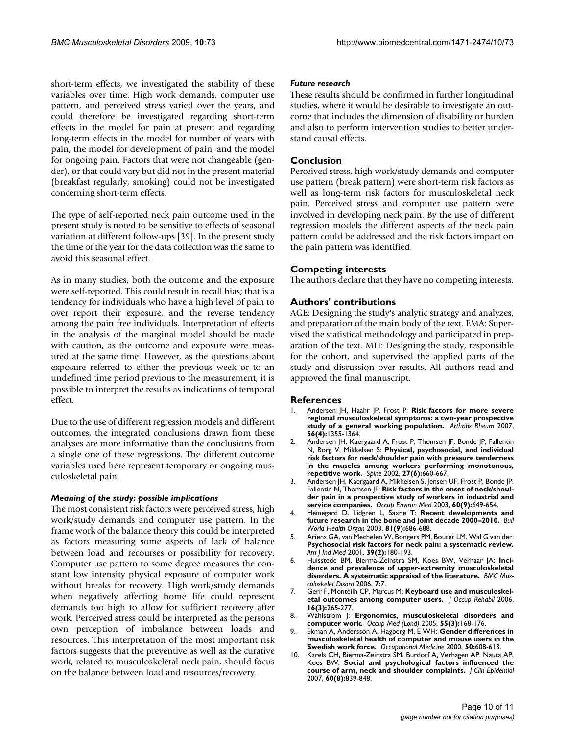short-term effects, we investigated the stability of these variables over time. High work demands, computer use pattern, and perceived stress varied over the years, and could therefore be investigated regarding short-term effects in the model for pain at present and regarding long-term effects in the model for number of years with pain, the model for development of pain, and the model for ongoing pain. Factors that were not changeable (gender), or that could vary but did not in the present material (breakfast regularly, smoking) could not be investigated concerning short-term effects.

The type of self-reported neck pain outcome used in the present study is noted to be sensitive to effects of seasonal variation at different follow-ups [39]. In the present study the time of the year for the data collection was the same to avoid this seasonal effect.

As in many studies, both the outcome and the exposure were self-reported. This could result in recall bias; that is a tendency for individuals who have a high level of pain to over report their exposure, and the reverse tendency among the pain free individuals. Interpretation of effects in the analysis of the marginal model should be made with caution, as the outcome and exposure were measured at the same time. However, as the questions about exposure referred to either the previous week or to an undefined time period previous to the measurement, it is possible to interpret the results as indications of temporal effect.

Due to the use of different regression models and different outcomes, the integrated conclusions drawn from these analyses are more informative than the conclusions from a single one of these regressions. The different outcome variables used here represent temporary or ongoing musculoskeletal pain.

#### *Meaning of the study: possible implications*

The most consistent risk factors were perceived stress, high work/study demands and computer use pattern. In the frame work of the balance theory this could be interpreted as factors measuring some aspects of lack of balance between load and recourses or possibility for recovery. Computer use pattern to some degree measures the constant low intensity physical exposure of computer work without breaks for recovery. High work/study demands when negatively affecting home life could represent demands too high to allow for sufficient recovery after work. Perceived stress could be interpreted as the persons own perception of imbalance between loads and resources. This interpretation of the most important risk factors suggests that the preventive as well as the curative work, related to musculoskeletal neck pain, should focus on the balance between load and resources/recovery.

#### *Future research*

These results should be confirmed in further longitudinal studies, where it would be desirable to investigate an outcome that includes the dimension of disability or burden and also to perform intervention studies to better understand causal effects.

#### **Conclusion**

Perceived stress, high work/study demands and computer use pattern (break pattern) were short-term risk factors as well as long-term risk factors for musculoskeletal neck pain. Perceived stress and computer use pattern were involved in developing neck pain. By the use of different regression models the different aspects of the neck pain pattern could be addressed and the risk factors impact on the pain pattern was identified.

#### **Competing interests**

The authors declare that they have no competing interests.

#### **Authors' contributions**

AGE: Designing the study's analytic strategy and analyzes, and preparation of the main body of the text. EMA: Supervised the statistical methodology and participated in preparation of the text. MH: Designing the study, responsible for the cohort, and supervised the applied parts of the study and discussion over results. All authors read and approved the final manuscript.

#### **References**

- 1. Andersen JH, Haahr JP, Frost P: **[Risk factors for more severe](http://www.ncbi.nlm.nih.gov/entrez/query.fcgi?cmd=Retrieve&db=PubMed&dopt=Abstract&list_uids=17393441) [regional musculoskeletal symptoms: a two-year prospective](http://www.ncbi.nlm.nih.gov/entrez/query.fcgi?cmd=Retrieve&db=PubMed&dopt=Abstract&list_uids=17393441) [study of a general working population.](http://www.ncbi.nlm.nih.gov/entrez/query.fcgi?cmd=Retrieve&db=PubMed&dopt=Abstract&list_uids=17393441)** *Arthritis Rheum* 2007, **56(4):**1355-1364.
- 2. Andersen JH, Kaergaard A, Frost P, Thomsen JF, Bonde JP, Fallentin N, Borg V, Mikkelsen S: **[Physical, psychosocial, and individual](http://www.ncbi.nlm.nih.gov/entrez/query.fcgi?cmd=Retrieve&db=PubMed&dopt=Abstract&list_uids=11884915) [risk factors for neck/shoulder pain with pressure tenderness](http://www.ncbi.nlm.nih.gov/entrez/query.fcgi?cmd=Retrieve&db=PubMed&dopt=Abstract&list_uids=11884915) in the muscles among workers performing monotonous, [repetitive work.](http://www.ncbi.nlm.nih.gov/entrez/query.fcgi?cmd=Retrieve&db=PubMed&dopt=Abstract&list_uids=11884915)** *Spine* 2002, **27(6):**660-667.
- 3. Andersen JH, Kaergaard A, Mikkelsen S, Jensen UF, Frost P, Bonde JP, Fallentin N, Thomsen JF: **[Risk factors in the onset of neck/shoul](http://www.ncbi.nlm.nih.gov/entrez/query.fcgi?cmd=Retrieve&db=PubMed&dopt=Abstract&list_uids=12937185)[der pain in a prospective study of workers in industrial and](http://www.ncbi.nlm.nih.gov/entrez/query.fcgi?cmd=Retrieve&db=PubMed&dopt=Abstract&list_uids=12937185) [service companies.](http://www.ncbi.nlm.nih.gov/entrez/query.fcgi?cmd=Retrieve&db=PubMed&dopt=Abstract&list_uids=12937185)** *Occup Environ Med* 2003, **60(9):**649-654.
- 4. Heinegard D, Lidgren L, Saxne T: **[Recent developments and](http://www.ncbi.nlm.nih.gov/entrez/query.fcgi?cmd=Retrieve&db=PubMed&dopt=Abstract&list_uids=14710512) [future research in the bone and joint decade 2000–2010.](http://www.ncbi.nlm.nih.gov/entrez/query.fcgi?cmd=Retrieve&db=PubMed&dopt=Abstract&list_uids=14710512)** *Bull World Health Organ* 2003, **81(9):**686-688.
- 5. Ariens GA, van Mechelen W, Bongers PM, Bouter LM, Wal G van der: **[Psychosocial risk factors for neck pain: a systematic review.](http://www.ncbi.nlm.nih.gov/entrez/query.fcgi?cmd=Retrieve&db=PubMed&dopt=Abstract&list_uids=11170160)** *Am J Ind Med* 2001, **39(2):**180-193.
- 6. Huisstede BM, Bierma-Zeinstra SM, Koes BW, Verhaar JA: **[Inci](http://www.ncbi.nlm.nih.gov/entrez/query.fcgi?cmd=Retrieve&db=PubMed&dopt=Abstract&list_uids=16448572)[dence and prevalence of upper-extremity musculoskeletal](http://www.ncbi.nlm.nih.gov/entrez/query.fcgi?cmd=Retrieve&db=PubMed&dopt=Abstract&list_uids=16448572) [disorders. A systematic appraisal of the literature.](http://www.ncbi.nlm.nih.gov/entrez/query.fcgi?cmd=Retrieve&db=PubMed&dopt=Abstract&list_uids=16448572)** *BMC Musculoskelet Disord* 2006, **7:**7.
- 7. Gerr F, Monteilh CP, Marcus M: **[Keyboard use and musculoskel](http://www.ncbi.nlm.nih.gov/entrez/query.fcgi?cmd=Retrieve&db=PubMed&dopt=Abstract&list_uids=16802184)[etal outcomes among computer users.](http://www.ncbi.nlm.nih.gov/entrez/query.fcgi?cmd=Retrieve&db=PubMed&dopt=Abstract&list_uids=16802184)** *J Occup Rehabil* 2006, **16(3):**265-277.
- 8. Wahlstrom J: **[Ergonomics, musculoskeletal disorders and](http://www.ncbi.nlm.nih.gov/entrez/query.fcgi?cmd=Retrieve&db=PubMed&dopt=Abstract&list_uids=15857896) [computer work.](http://www.ncbi.nlm.nih.gov/entrez/query.fcgi?cmd=Retrieve&db=PubMed&dopt=Abstract&list_uids=15857896)** *Occup Med (Lond)* 2005, **55(3):**168-176.
- 9. Ekman A, Andersson A, Hagberg M, E WH: **[Gender differences in](http://www.ncbi.nlm.nih.gov/entrez/query.fcgi?cmd=Retrieve&db=PubMed&dopt=Abstract&list_uids=11220032) [musculoskeletal health of computer and mouse users in the](http://www.ncbi.nlm.nih.gov/entrez/query.fcgi?cmd=Retrieve&db=PubMed&dopt=Abstract&list_uids=11220032) [Swedish work force.](http://www.ncbi.nlm.nih.gov/entrez/query.fcgi?cmd=Retrieve&db=PubMed&dopt=Abstract&list_uids=11220032)** *Occupational Medicine* 2000, **50:**608-613.
- 10. Karels CH, Bierma-Zeinstra SM, Burdorf A, Verhagen AP, Nauta AP, Koes BW: **[Social and psychological factors influenced the](http://www.ncbi.nlm.nih.gov/entrez/query.fcgi?cmd=Retrieve&db=PubMed&dopt=Abstract&list_uids=17606181) [course of arm, neck and shoulder complaints.](http://www.ncbi.nlm.nih.gov/entrez/query.fcgi?cmd=Retrieve&db=PubMed&dopt=Abstract&list_uids=17606181)** *J Clin Epidemiol* 2007, **60(8):**839-848.